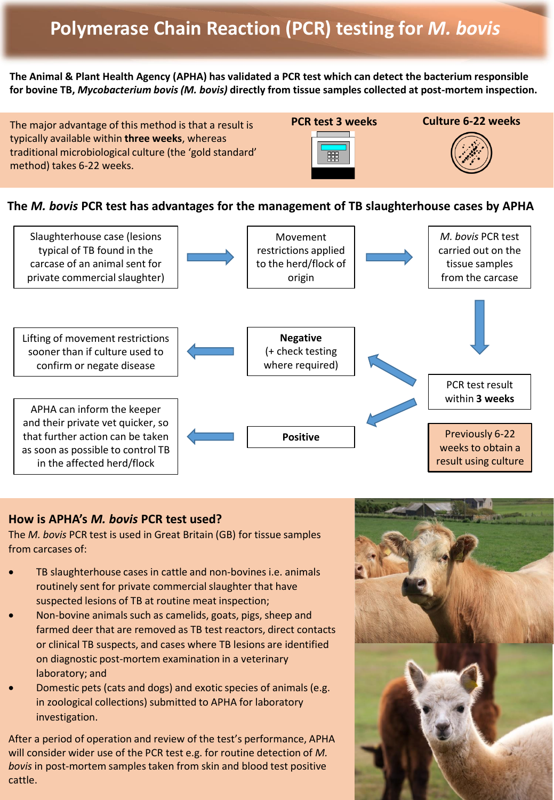## **Polymerase Chain Reaction (PCR) testing for** *M. bovis*

**The Animal & Plant Health Agency (APHA) has validated a PCR test which can detect the bacterium responsible for bovine TB,** *Mycobacterium bovis (M. bovis)* **directly from tissue samples collected at post-mortem inspection.**

**PCR test 3 weeks Culture 6-22 weeks** The major advantage of this method is that a result is typically available within **three weeks**, whereas traditional microbiological culture (the 'gold standard' 嚻 method) takes 6-22 weeks.

**The** *M. bovis* **PCR test has advantages for the management of TB slaughterhouse cases by APHA** 



## **How is APHA's** *M. bovis* **PCR test used?**

The *M. bovis* PCR test is used in Great Britain (GB) for tissue samples from carcases of:

- TB slaughterhouse cases in cattle and non-bovines i.e. animals routinely sent for private commercial slaughter that have suspected lesions of TB at routine meat inspection;
- Non-bovine animals such as camelids, goats, pigs, sheep and farmed deer that are removed as TB test reactors, direct contacts or clinical TB suspects, and cases where TB lesions are identified on diagnostic post-mortem examination in a veterinary laboratory; and
- Domestic pets (cats and dogs) and exotic species of animals (e.g. in zoological collections) submitted to APHA for laboratory investigation.

After a period of operation and review of the test's performance, APHA will consider wider use of the PCR test e.g. for routine detection of *M. bovis* in post-mortem samples taken from skin and blood test positive cattle.